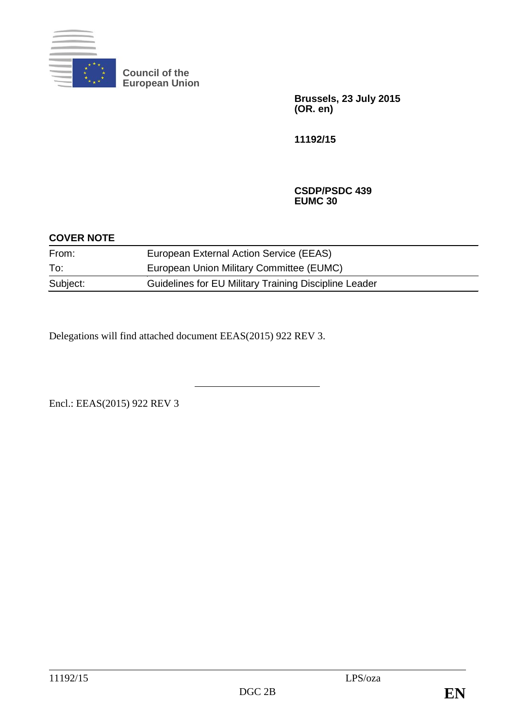

**Council of the European Union**

> **Brussels, 23 July 2015 (OR. en)**

**11192/15**

**CSDP/PSDC 439 EUMC 30**

| <b>COVER NOTE</b> |                                                       |  |
|-------------------|-------------------------------------------------------|--|
| From:             | European External Action Service (EEAS)               |  |
| To:               | European Union Military Committee (EUMC)              |  |
| Subject:          | Guidelines for EU Military Training Discipline Leader |  |

Delegations will find attached document EEAS(2015) 922 REV 3.

Encl.: EEAS(2015) 922 REV 3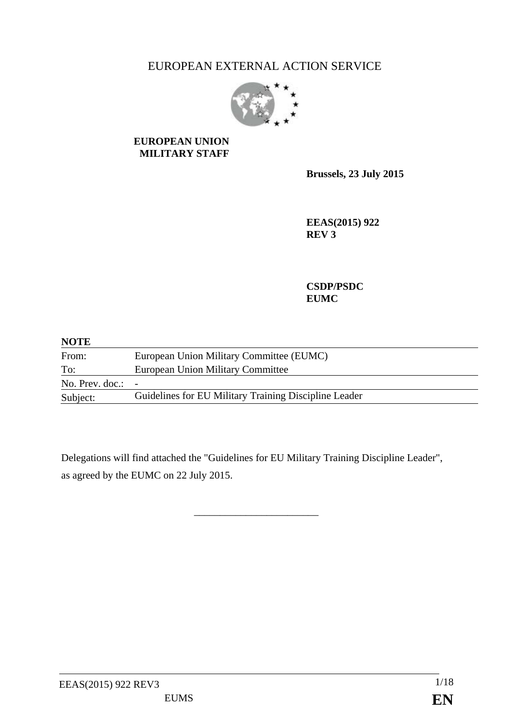# EUROPEAN EXTERNAL ACTION SERVICE



### **EUROPEAN UNION MILITARY STAFF**

**Brussels, 23 July 2015**

**EEAS(2015) 922 REV 3**

**CSDP/PSDC EUMC**

| <b>NOTE</b>                |                                                       |
|----------------------------|-------------------------------------------------------|
| From:                      | European Union Military Committee (EUMC)              |
| To:                        | European Union Military Committee                     |
| No. Prev. doc.: $\qquad$ - |                                                       |
| Subject:                   | Guidelines for EU Military Training Discipline Leader |

Delegations will find attached the "Guidelines for EU Military Training Discipline Leader", as agreed by the EUMC on 22 July 2015.

\_\_\_\_\_\_\_\_\_\_\_\_\_\_\_\_\_\_\_\_\_\_\_\_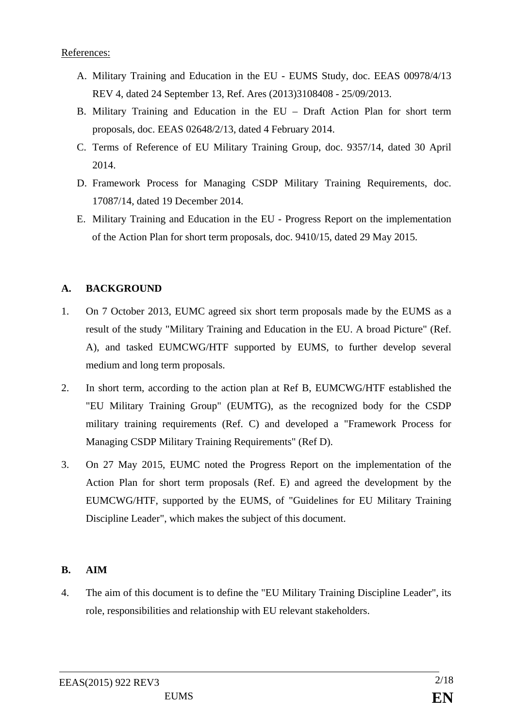### References:

- A. Military Training and Education in the EU EUMS Study, doc. EEAS 00978/4/13 REV 4, dated 24 September 13, Ref. Ares (2013)3108408 - 25/09/2013.
- B. Military Training and Education in the EU Draft Action Plan for short term proposals, doc. EEAS 02648/2/13, dated 4 February 2014.
- C. Terms of Reference of EU Military Training Group, doc. 9357/14, dated 30 April 2014.
- D. Framework Process for Managing CSDP Military Training Requirements, doc. 17087/14, dated 19 December 2014.
- E. Military Training and Education in the EU Progress Report on the implementation of the Action Plan for short term proposals, doc. 9410/15, dated 29 May 2015.

### **A. BACKGROUND**

- 1. On 7 October 2013, EUMC agreed six short term proposals made by the EUMS as a result of the study "Military Training and Education in the EU. A broad Picture" (Ref. A), and tasked EUMCWG/HTF supported by EUMS, to further develop several medium and long term proposals.
- 2. In short term, according to the action plan at Ref B, EUMCWG/HTF established the "EU Military Training Group" (EUMTG), as the recognized body for the CSDP military training requirements (Ref. C) and developed a "Framework Process for Managing CSDP Military Training Requirements" (Ref D).
- 3. On 27 May 2015, EUMC noted the Progress Report on the implementation of the Action Plan for short term proposals (Ref. E) and agreed the development by the EUMCWG/HTF, supported by the EUMS, of "Guidelines for EU Military Training Discipline Leader", which makes the subject of this document.

### **B. AIM**

4. The aim of this document is to define the "EU Military Training Discipline Leader", its role, responsibilities and relationship with EU relevant stakeholders.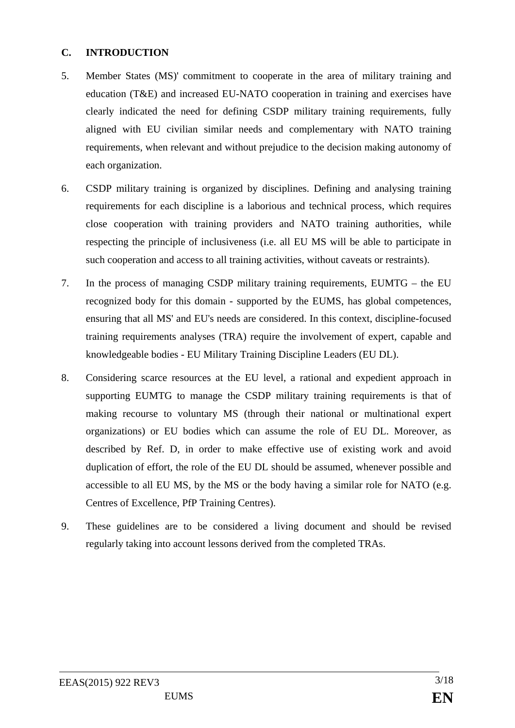### **C. INTRODUCTION**

- 5. Member States (MS)' commitment to cooperate in the area of military training and education (T&E) and increased EU-NATO cooperation in training and exercises have clearly indicated the need for defining CSDP military training requirements, fully aligned with EU civilian similar needs and complementary with NATO training requirements, when relevant and without prejudice to the decision making autonomy of each organization.
- 6. CSDP military training is organized by disciplines. Defining and analysing training requirements for each discipline is a laborious and technical process, which requires close cooperation with training providers and NATO training authorities, while respecting the principle of inclusiveness (i.e. all EU MS will be able to participate in such cooperation and access to all training activities, without caveats or restraints).
- 7. In the process of managing CSDP military training requirements, EUMTG the EU recognized body for this domain - supported by the EUMS, has global competences, ensuring that all MS' and EU's needs are considered. In this context, discipline-focused training requirements analyses (TRA) require the involvement of expert, capable and knowledgeable bodies - EU Military Training Discipline Leaders (EU DL).
- 8. Considering scarce resources at the EU level, a rational and expedient approach in supporting EUMTG to manage the CSDP military training requirements is that of making recourse to voluntary MS (through their national or multinational expert organizations) or EU bodies which can assume the role of EU DL. Moreover, as described by Ref. D, in order to make effective use of existing work and avoid duplication of effort, the role of the EU DL should be assumed, whenever possible and accessible to all EU MS, by the MS or the body having a similar role for NATO (e.g. Centres of Excellence, PfP Training Centres).
- 9. These guidelines are to be considered a living document and should be revised regularly taking into account lessons derived from the completed TRAs.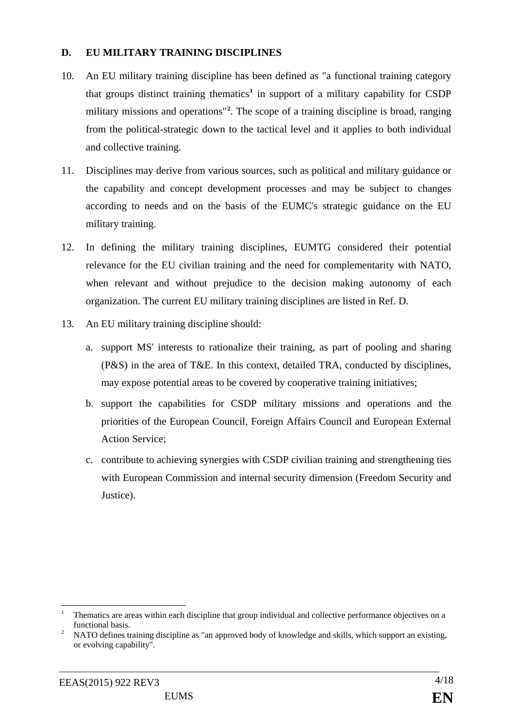### **D. EU MILITARY TRAINING DISCIPLINES**

- 10. An EU military training discipline has been defined as "a functional training category that groups distinct training thematics**[1](#page-4-0)** in support of a military capability for CSDP military missions and operations"**[2](#page-4-1)** . The scope of a training discipline is broad, ranging from the political-strategic down to the tactical level and it applies to both individual and collective training.
- 11. Disciplines may derive from various sources, such as political and military guidance or the capability and concept development processes and may be subject to changes according to needs and on the basis of the EUMC's strategic guidance on the EU military training.
- 12. In defining the military training disciplines, EUMTG considered their potential relevance for the EU civilian training and the need for complementarity with NATO, when relevant and without prejudice to the decision making autonomy of each organization. The current EU military training disciplines are listed in Ref. D.
- 13. An EU military training discipline should:
	- a. support MS' interests to rationalize their training, as part of pooling and sharing (P&S) in the area of T&E. In this context, detailed TRA, conducted by disciplines, may expose potential areas to be covered by cooperative training initiatives;
	- b. support the capabilities for CSDP military missions and operations and the priorities of the European Council, Foreign Affairs Council and European External Action Service;
	- c. contribute to achieving synergies with CSDP civilian training and strengthening ties with European Commission and internal security dimension (Freedom Security and Justice).

<span id="page-4-0"></span> <sup>1</sup> Thematics are areas within each discipline that group individual and collective performance objectives on a

<span id="page-4-1"></span>functional basis.<br><sup>2</sup> NATO defines training discipline as "an approved body of knowledge and skills, which support an existing, or evolving capability".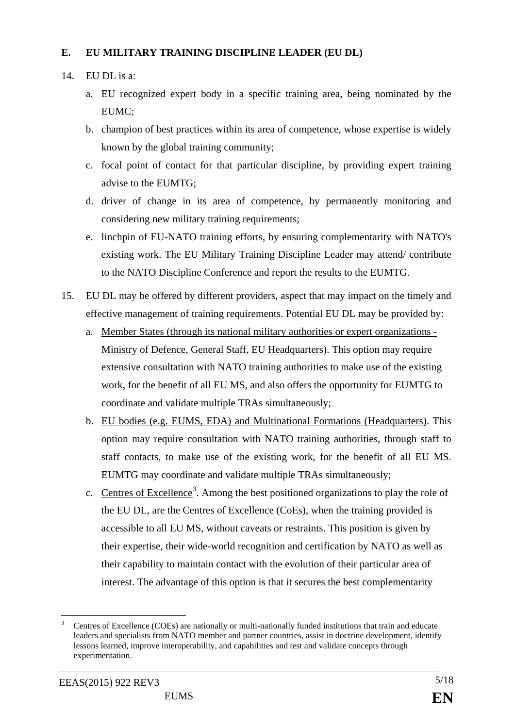### **E. EU MILITARY TRAINING DISCIPLINE LEADER (EU DL)**

### 14. EU DL is a:

- a. EU recognized expert body in a specific training area, being nominated by the EUMC;
- b. champion of best practices within its area of competence, whose expertise is widely known by the global training community;
- c. focal point of contact for that particular discipline, by providing expert training advise to the EUMTG;
- d. driver of change in its area of competence, by permanently monitoring and considering new military training requirements;
- e. linchpin of EU-NATO training efforts, by ensuring complementarity with NATO's existing work. The EU Military Training Discipline Leader may attend/ contribute to the NATO Discipline Conference and report the results to the EUMTG.
- 15. EU DL may be offered by different providers, aspect that may impact on the timely and effective management of training requirements. Potential EU DL may be provided by:
	- a. Member States (through its national military authorities or expert organizations Ministry of Defence, General Staff, EU Headquarters). This option may require extensive consultation with NATO training authorities to make use of the existing work, for the benefit of all EU MS, and also offers the opportunity for EUMTG to coordinate and validate multiple TRAs simultaneously;
	- b. EU bodies (e.g. EUMS, EDA) and Multinational Formations (Headquarters). This option may require consultation with NATO training authorities, through staff to staff contacts, to make use of the existing work, for the benefit of all EU MS. EUMTG may coordinate and validate multiple TRAs simultaneously;
	- c. Centres of Excellence<sup>[3](#page-5-0)</sup>. Among the best positioned organizations to play the role of the EU DL, are the Centres of Excellence (CoEs), when the training provided is accessible to all EU MS, without caveats or restraints. This position is given by their expertise, their wide-world recognition and certification by NATO as well as their capability to maintain contact with the evolution of their particular area of interest. The advantage of this option is that it secures the best complementarity

<span id="page-5-0"></span> <sup>3</sup> Centres of Excellence (COEs) are nationally or multi-nationally funded institutions that train and educate leaders and specialists from NATO member and partner countries, assist in doctrine development, identify lessons learned, improve interoperability, and capabilities and test and validate concepts through experimentation.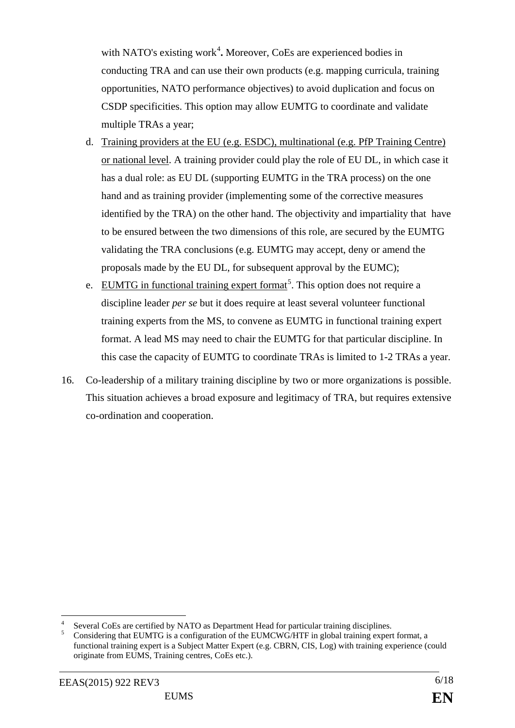with NATO's existing work<sup>[4](#page-6-0)</sup>. Moreover, CoEs are experienced bodies in conducting TRA and can use their own products (e.g. mapping curricula, training opportunities, NATO performance objectives) to avoid duplication and focus on CSDP specificities. This option may allow EUMTG to coordinate and validate multiple TRAs a year;

- d. Training providers at the EU (e.g. ESDC), multinational (e.g. PfP Training Centre) or national level. A training provider could play the role of EU DL, in which case it has a dual role: as EU DL (supporting EUMTG in the TRA process) on the one hand and as training provider (implementing some of the corrective measures identified by the TRA) on the other hand. The objectivity and impartiality that have to be ensured between the two dimensions of this role, are secured by the EUMTG validating the TRA conclusions (e.g. EUMTG may accept, deny or amend the proposals made by the EU DL, for subsequent approval by the EUMC);
- e. EUMTG in functional training expert format<sup>[5](#page-6-1)</sup>. This option does not require a discipline leader *per se* but it does require at least several volunteer functional training experts from the MS, to convene as EUMTG in functional training expert format. A lead MS may need to chair the EUMTG for that particular discipline. In this case the capacity of EUMTG to coordinate TRAs is limited to 1-2 TRAs a year.
- 16. Co-leadership of a military training discipline by two or more organizations is possible. This situation achieves a broad exposure and legitimacy of TRA, but requires extensive co-ordination and cooperation.

<span id="page-6-0"></span>Several CoEs are certified by NATO as Department Head for particular training disciplines.<br>6 Considering that EUMTG is a configuration of the EUMCWG/HTF in global training expert format, a

<span id="page-6-1"></span>functional training expert is a Subject Matter Expert (e.g. CBRN, CIS, Log) with training experience (could originate from EUMS, Training centres, CoEs etc.).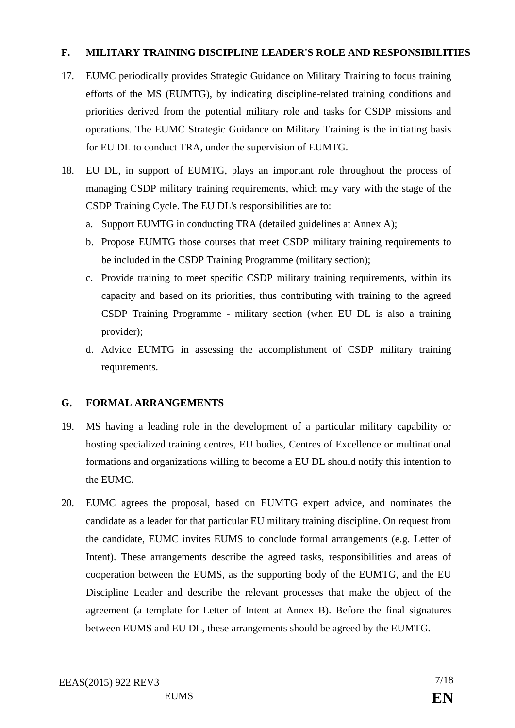### **F. MILITARY TRAINING DISCIPLINE LEADER'S ROLE AND RESPONSIBILITIES**

- 17. EUMC periodically provides Strategic Guidance on Military Training to focus training efforts of the MS (EUMTG), by indicating discipline-related training conditions and priorities derived from the potential military role and tasks for CSDP missions and operations. The EUMC Strategic Guidance on Military Training is the initiating basis for EU DL to conduct TRA, under the supervision of EUMTG.
- 18. EU DL, in support of EUMTG, plays an important role throughout the process of managing CSDP military training requirements, which may vary with the stage of the CSDP Training Cycle. The EU DL's responsibilities are to:
	- a. Support EUMTG in conducting TRA (detailed guidelines at Annex A);
	- b. Propose EUMTG those courses that meet CSDP military training requirements to be included in the CSDP Training Programme (military section);
	- c. Provide training to meet specific CSDP military training requirements, within its capacity and based on its priorities, thus contributing with training to the agreed CSDP Training Programme - military section (when EU DL is also a training provider);
	- d. Advice EUMTG in assessing the accomplishment of CSDP military training requirements.

### **G. FORMAL ARRANGEMENTS**

- 19. MS having a leading role in the development of a particular military capability or hosting specialized training centres, EU bodies, Centres of Excellence or multinational formations and organizations willing to become a EU DL should notify this intention to the EUMC.
- 20. EUMC agrees the proposal, based on EUMTG expert advice, and nominates the candidate as a leader for that particular EU military training discipline. On request from the candidate, EUMC invites EUMS to conclude formal arrangements (e.g. Letter of Intent). These arrangements describe the agreed tasks, responsibilities and areas of cooperation between the EUMS, as the supporting body of the EUMTG, and the EU Discipline Leader and describe the relevant processes that make the object of the agreement (a template for Letter of Intent at Annex B). Before the final signatures between EUMS and EU DL, these arrangements should be agreed by the EUMTG.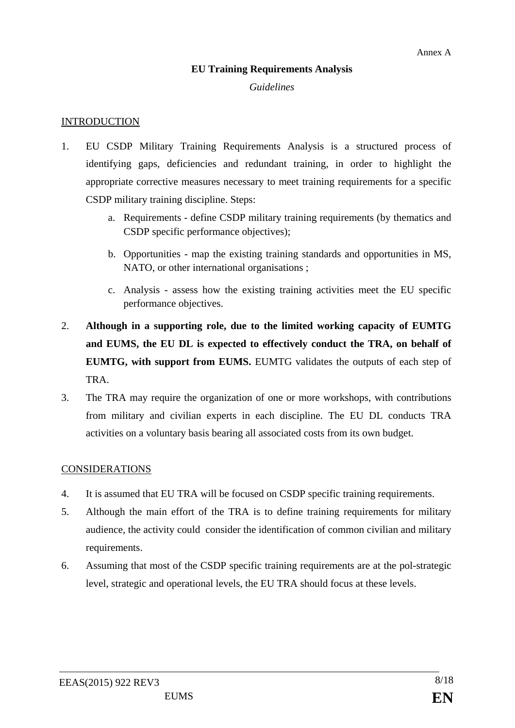### **EU Training Requirements Analysis**

### *Guidelines*

### **INTRODUCTION**

- 1. EU CSDP Military Training Requirements Analysis is a structured process of identifying gaps, deficiencies and redundant training, in order to highlight the appropriate corrective measures necessary to meet training requirements for a specific CSDP military training discipline. Steps:
	- a. Requirements define CSDP military training requirements (by thematics and CSDP specific performance objectives);
	- b. Opportunities map the existing training standards and opportunities in MS, NATO, or other international organisations ;
	- c. Analysis assess how the existing training activities meet the EU specific performance objectives.
- 2. **Although in a supporting role, due to the limited working capacity of EUMTG and EUMS, the EU DL is expected to effectively conduct the TRA, on behalf of EUMTG, with support from EUMS.** EUMTG validates the outputs of each step of TRA.
- 3. The TRA may require the organization of one or more workshops, with contributions from military and civilian experts in each discipline. The EU DL conducts TRA activities on a voluntary basis bearing all associated costs from its own budget.

### CONSIDERATIONS

- 4. It is assumed that EU TRA will be focused on CSDP specific training requirements.
- 5. Although the main effort of the TRA is to define training requirements for military audience, the activity could consider the identification of common civilian and military requirements.
- 6. Assuming that most of the CSDP specific training requirements are at the pol-strategic level, strategic and operational levels, the EU TRA should focus at these levels.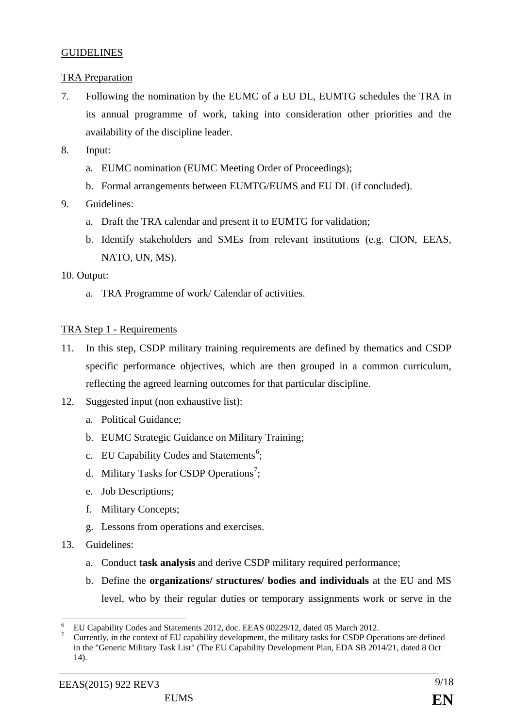### GUIDELINES

### TRA Preparation

- 7. Following the nomination by the EUMC of a EU DL, EUMTG schedules the TRA in its annual programme of work, taking into consideration other priorities and the availability of the discipline leader.
- 8. Input:
	- a. EUMC nomination (EUMC Meeting Order of Proceedings);
	- b. Formal arrangements between EUMTG/EUMS and EU DL (if concluded).
- 9. Guidelines:
	- a. Draft the TRA calendar and present it to EUMTG for validation;
	- b. Identify stakeholders and SMEs from relevant institutions (e.g. CION, EEAS, NATO, UN, MS).

### 10. Output:

a. TRA Programme of work/ Calendar of activities.

### TRA Step 1 - Requirements

- 11. In this step, CSDP military training requirements are defined by thematics and CSDP specific performance objectives, which are then grouped in a common curriculum, reflecting the agreed learning outcomes for that particular discipline.
- 12. Suggested input (non exhaustive list):
	- a. Political Guidance;
	- b. EUMC Strategic Guidance on Military Training;
	- c. EU Capability Codes and Statements<sup>[6](#page-9-0)</sup>;
	- d. Military Tasks for CSDP Operations<sup>[7](#page-9-1)</sup>;
	- e. Job Descriptions;
	- f. Military Concepts;
	- g. Lessons from operations and exercises.
- 13. Guidelines:
	- a. Conduct **task analysis** and derive CSDP military required performance;
	- b. Define the **organizations/ structures/ bodies and individuals** at the EU and MS level, who by their regular duties or temporary assignments work or serve in the

<span id="page-9-1"></span><span id="page-9-0"></span>

EU Capability Codes and Statements 2012, doc. EEAS 00229/12, dated 05 March 2012.<br>Currently, in the context of EU capability development, the military tasks for CSDP Operations are defined in the "Generic Military Task List" (The EU Capability Development Plan, EDA SB 2014/21, dated 8 Oct 14).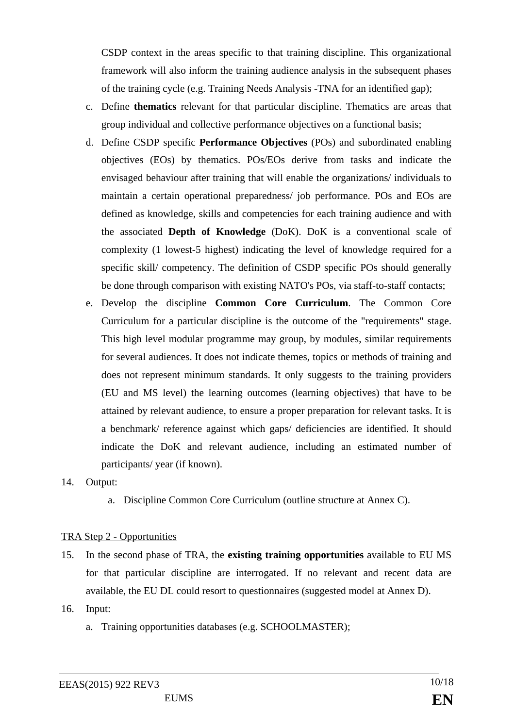CSDP context in the areas specific to that training discipline. This organizational framework will also inform the training audience analysis in the subsequent phases of the training cycle (e.g. Training Needs Analysis -TNA for an identified gap);

- c. Define **thematics** relevant for that particular discipline. Thematics are areas that group individual and collective performance objectives on a functional basis;
- d. Define CSDP specific **Performance Objectives** (POs) and subordinated enabling objectives (EOs) by thematics. POs/EOs derive from tasks and indicate the envisaged behaviour after training that will enable the organizations/ individuals to maintain a certain operational preparedness/ job performance. POs and EOs are defined as knowledge, skills and competencies for each training audience and with the associated **Depth of Knowledge** (DoK). DoK is a conventional scale of complexity (1 lowest-5 highest) indicating the level of knowledge required for a specific skill/ competency. The definition of CSDP specific POs should generally be done through comparison with existing NATO's POs, via staff-to-staff contacts;
- e. Develop the discipline **Common Core Curriculum**. The Common Core Curriculum for a particular discipline is the outcome of the "requirements" stage. This high level modular programme may group, by modules, similar requirements for several audiences. It does not indicate themes, topics or methods of training and does not represent minimum standards. It only suggests to the training providers (EU and MS level) the learning outcomes (learning objectives) that have to be attained by relevant audience, to ensure a proper preparation for relevant tasks. It is a benchmark/ reference against which gaps/ deficiencies are identified. It should indicate the DoK and relevant audience, including an estimated number of participants/ year (if known).
- 14. Output:
	- a. Discipline Common Core Curriculum (outline structure at Annex C).

### TRA Step 2 - Opportunities

- 15. In the second phase of TRA, the **existing training opportunities** available to EU MS for that particular discipline are interrogated. If no relevant and recent data are available, the EU DL could resort to questionnaires (suggested model at Annex D).
- 16. Input:
	- a. Training opportunities databases (e.g. SCHOOLMASTER);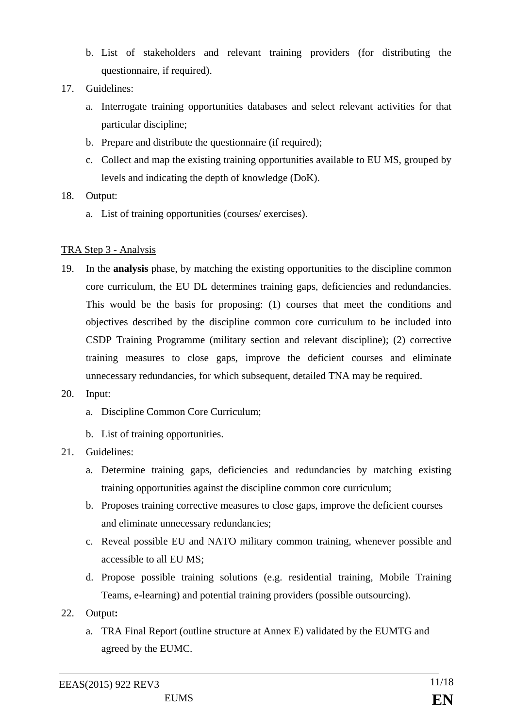- b. List of stakeholders and relevant training providers (for distributing the questionnaire, if required).
- 17. Guidelines:
	- a. Interrogate training opportunities databases and select relevant activities for that particular discipline;
	- b. Prepare and distribute the questionnaire (if required);
	- c. Collect and map the existing training opportunities available to EU MS, grouped by levels and indicating the depth of knowledge (DoK).
- 18. Output:
	- a. List of training opportunities (courses/ exercises).

### TRA Step 3 - Analysis

- 19. In the **analysis** phase, by matching the existing opportunities to the discipline common core curriculum, the EU DL determines training gaps, deficiencies and redundancies. This would be the basis for proposing: (1) courses that meet the conditions and objectives described by the discipline common core curriculum to be included into CSDP Training Programme (military section and relevant discipline); (2) corrective training measures to close gaps, improve the deficient courses and eliminate unnecessary redundancies, for which subsequent, detailed TNA may be required.
- 20. Input:

a. Discipline Common Core Curriculum;

- b. List of training opportunities.
- 21. Guidelines:
	- a. Determine training gaps, deficiencies and redundancies by matching existing training opportunities against the discipline common core curriculum;
	- b. Proposes training corrective measures to close gaps, improve the deficient courses and eliminate unnecessary redundancies;
	- c. Reveal possible EU and NATO military common training, whenever possible and accessible to all EU MS;
	- d. Propose possible training solutions (e.g. residential training, Mobile Training Teams, e-learning) and potential training providers (possible outsourcing).
- 22. Output**:** 
	- a. TRA Final Report (outline structure at Annex E) validated by the EUMTG and agreed by the EUMC.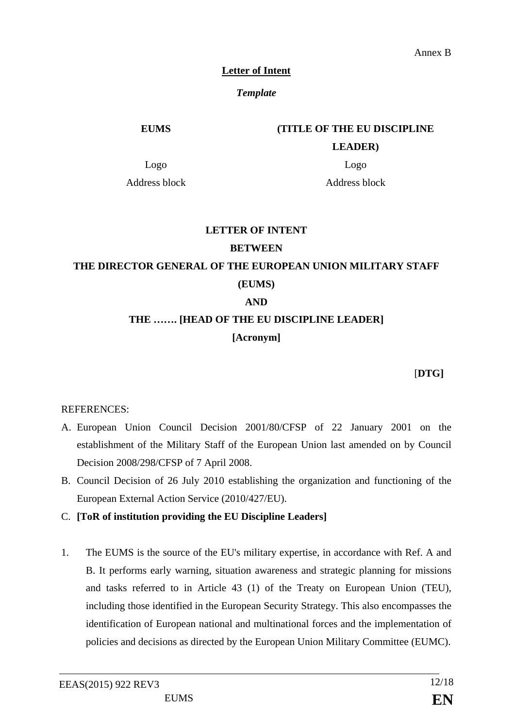### **Letter of Intent**

### *Template*

### **EUMS (TITLE OF THE EU DISCIPLINE**

### **LEADER)**

Logo Logo

Address block Address block

# **LETTER OF INTENT BETWEEN THE DIRECTOR GENERAL OF THE EUROPEAN UNION MILITARY STAFF**

## **(EUMS)**

## **AND**

# **THE ……. [HEAD OF THE EU DISCIPLINE LEADER] [Acronym]**

[**DTG]**

### REFERENCES:

- A. European Union Council Decision 2001/80/CFSP of 22 January 2001 on the establishment of the Military Staff of the European Union last amended on by Council Decision 2008/298/CFSP of 7 April 2008.
- B. Council Decision of 26 July 2010 establishing the organization and functioning of the European External Action Service (2010/427/EU).
- C. **[ToR of institution providing the EU Discipline Leaders]**
- 1. The EUMS is the source of the EU's military expertise, in accordance with Ref. A and B. It performs early warning, situation awareness and strategic planning for missions and tasks referred to in Article 43 (1) of the Treaty on European Union (TEU), including those identified in the European Security Strategy. This also encompasses the identification of European national and multinational forces and the implementation of policies and decisions as directed by the European Union Military Committee (EUMC).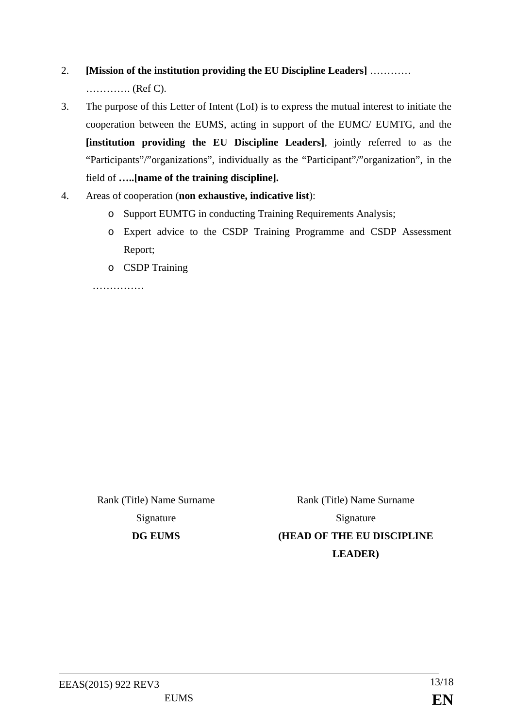# 2. **[Mission of the institution providing the EU Discipline Leaders]** ………… …………. (Ref C).

- 3. The purpose of this Letter of Intent (LoI) is to express the mutual interest to initiate the cooperation between the EUMS, acting in support of the EUMC/ EUMTG, and the **[institution providing the EU Discipline Leaders]**, jointly referred to as the "Participants"/"organizations", individually as the "Participant"/"organization", in the field of **…..[name of the training discipline].**
- 4. Areas of cooperation (**non exhaustive, indicative list**):
	- o Support EUMTG in conducting Training Requirements Analysis;
	- o Expert advice to the CSDP Training Programme and CSDP Assessment Report;
	- o CSDP Training

……………

Rank (Title) Name Surname Rank (Title) Name Surname Signature Signature **DG EUMS (HEAD OF THE EU DISCIPLINE LEADER)**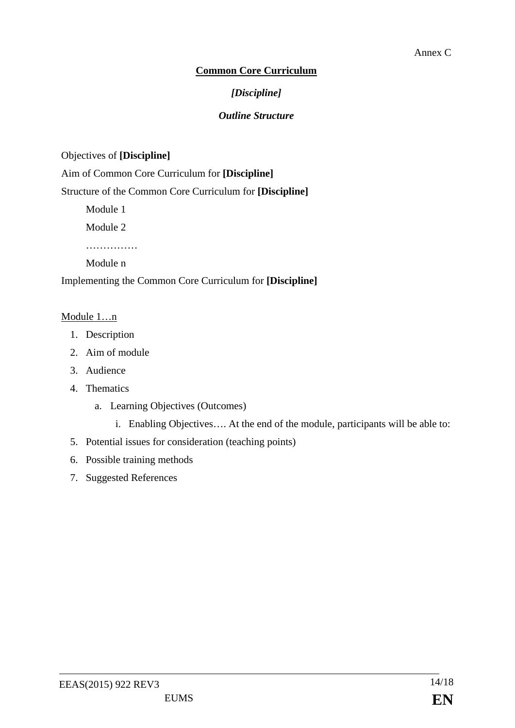### **Common Core Curriculum**

### *[Discipline]*

### *Outline Structure*

### Objectives of **[Discipline]**

Aim of Common Core Curriculum for **[Discipline]**

Structure of the Common Core Curriculum for **[Discipline]**

Module 1

Module 2

……………

Module n

Implementing the Common Core Curriculum for **[Discipline]**

### Module 1…n

- 1. Description
- 2. Aim of module
- 3. Audience
- 4. Thematics
	- a. Learning Objectives (Outcomes)
		- i. Enabling Objectives…. At the end of the module, participants will be able to:
- 5. Potential issues for consideration (teaching points)
- 6. Possible training methods
- 7. Suggested References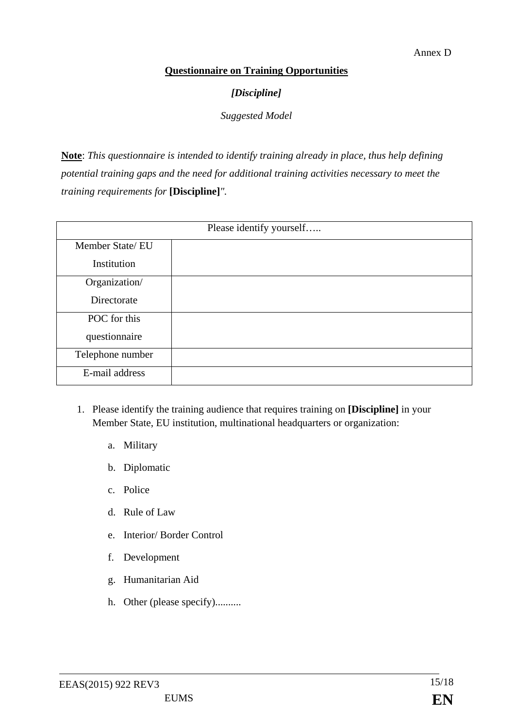### **Questionnaire on Training Opportunities**

### *[Discipline]*

*Suggested Model*

**Note**: *This questionnaire is intended to identify training already in place, thus help defining potential training gaps and the need for additional training activities necessary to meet the training requirements for* **[Discipline]***".*

| Please identify yourself |  |  |
|--------------------------|--|--|
| Member State/EU          |  |  |
| Institution              |  |  |
| Organization/            |  |  |
| Directorate              |  |  |
| POC for this             |  |  |
| questionnaire            |  |  |
| Telephone number         |  |  |
| E-mail address           |  |  |

- 1. Please identify the training audience that requires training on **[Discipline]** in your Member State, EU institution, multinational headquarters or organization:
	- a. Military
	- b. Diplomatic
	- c. Police
	- d. Rule of Law
	- e. Interior/ Border Control
	- f. Development
	- g. Humanitarian Aid
	- h. Other (please specify)..........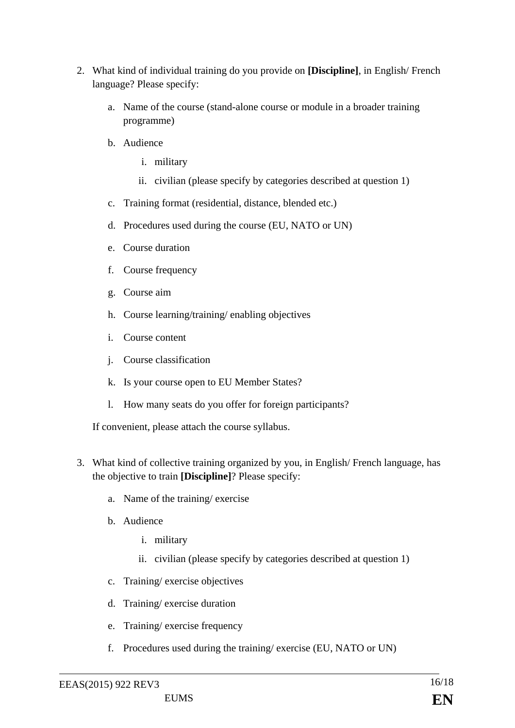- 2. What kind of individual training do you provide on **[Discipline]**, in English/ French language? Please specify:
	- a. Name of the course (stand-alone course or module in a broader training programme)
	- b. Audience
		- i. military
		- ii. civilian (please specify by categories described at question 1)
	- c. Training format (residential, distance, blended etc.)
	- d. Procedures used during the course (EU, NATO or UN)
	- e. Course duration
	- f. Course frequency
	- g. Course aim
	- h. Course learning/training/ enabling objectives
	- i. Course content
	- j. Course classification
	- k. Is your course open to EU Member States?
	- l. How many seats do you offer for foreign participants?

If convenient, please attach the course syllabus.

- 3. What kind of collective training organized by you, in English/ French language, has the objective to train **[Discipline]**? Please specify:
	- a. Name of the training/ exercise
	- b. Audience
		- i. military
		- ii. civilian (please specify by categories described at question 1)
	- c. Training/ exercise objectives
	- d. Training/ exercise duration
	- e. Training/ exercise frequency
	- f. Procedures used during the training/ exercise (EU, NATO or UN)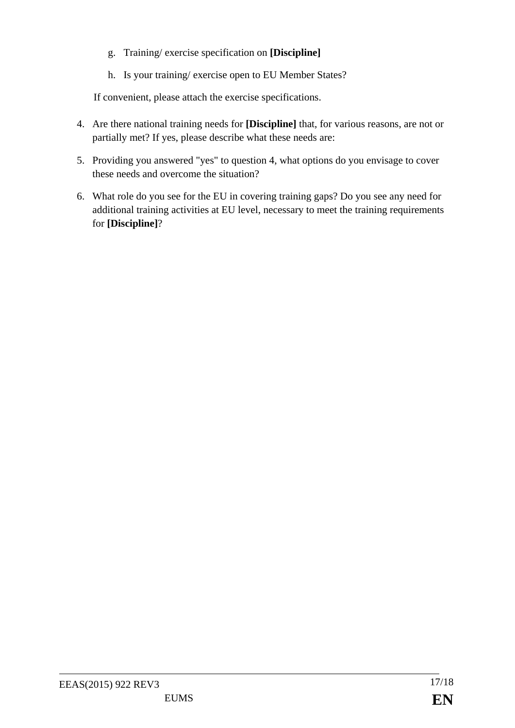- g. Training/ exercise specification on **[Discipline]**
- h. Is your training/ exercise open to EU Member States?

If convenient, please attach the exercise specifications.

- 4. Are there national training needs for **[Discipline]** that, for various reasons, are not or partially met? If yes, please describe what these needs are:
- 5. Providing you answered "yes" to question 4, what options do you envisage to cover these needs and overcome the situation?
- 6. What role do you see for the EU in covering training gaps? Do you see any need for additional training activities at EU level, necessary to meet the training requirements for **[Discipline]**?